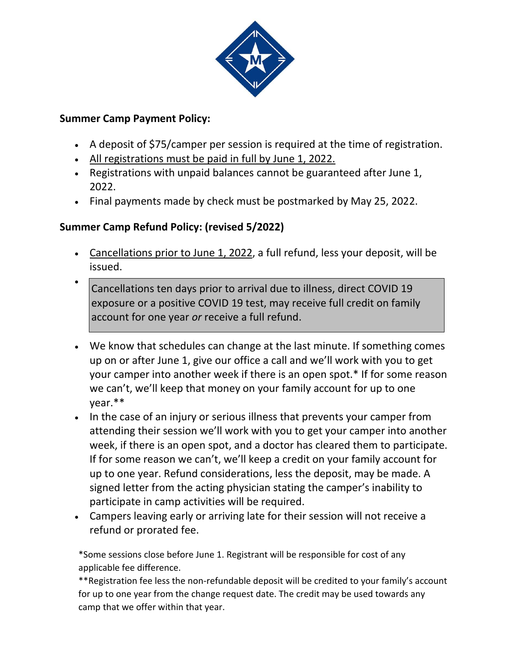

## **Summer Camp Payment Policy:**

- A deposit of \$75/camper per session is required at the time of registration.
- All registrations must be paid in full by June 1, 2022.
- Registrations with unpaid balances cannot be guaranteed after June 1, 2022.
- Final payments made by check must be postmarked by May 25, 2022.

# **Summer Camp Refund Policy: (revised 5/2022)**

- Cancellations prior to June 1, 2022, a full refund, less your deposit, will be issued.
- Cancellations ten days prior to arrival due to illness, direct COVID 19 exposure or a positive COVID 19 test, may receive full credit on family account for one year *or* receive a full refund.
- We know that schedules can change at the last minute. If something comes up on or after June 1, give our office a call and we'll work with you to get your camper into another week if there is an open spot.\* If for some reason we can't, we'll keep that money on your family account for up to one year.\*\*
- In the case of an injury or serious illness that prevents your camper from attending their session we'll work with you to get your camper into another week, if there is an open spot, and a doctor has cleared them to participate. If for some reason we can't, we'll keep a credit on your family account for up to one year. Refund considerations, less the deposit, may be made. A signed letter from the acting physician stating the camper's inability to participate in camp activities will be required.
- Campers leaving early or arriving late for their session will not receive a refund or prorated fee.

\*Some sessions close before June 1. Registrant will be responsible for cost of any applicable fee difference.

\*\*Registration fee less the non-refundable deposit will be credited to your family's account for up to one year from the change request date. The credit may be used towards any camp that we offer within that year.